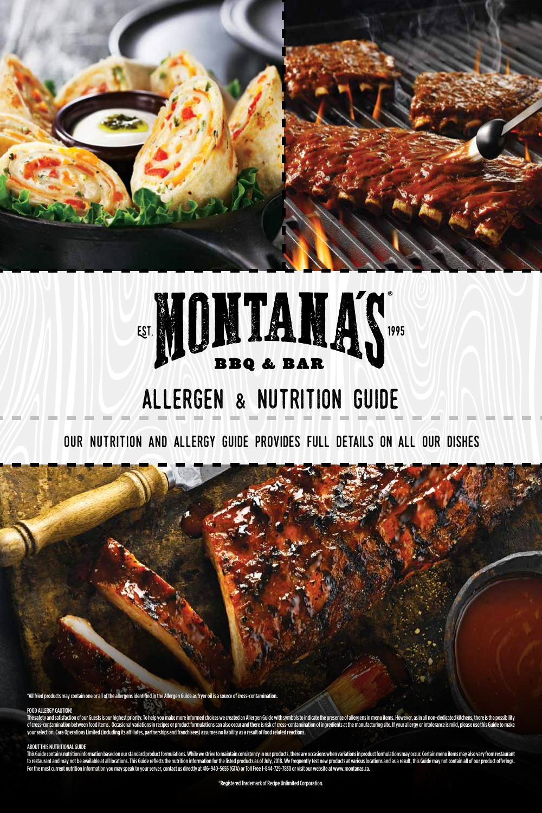



## allergen & nutrition Guide

OUR NUTRITION AND ALLERGY GUIDE PROVIDES FULL DETAILS ON ALL OUR DISHES

\*All fried products may contain one or all of the allergens identified in the Allergen Guide as fryer oil is a source of cross-contamination.

-ha  $45$ 

#### FOOD ALLERGY CAUTION!

The safety and satisfaction of our Guests is our highest priority. To help you make more informed choices we created an Allergen Guide with symbols to indicate the presence of allergens in menu items. However, as in all no of cross-contamination between food items. Occasional variations in recipes or product formulations can also occur and there is risk of cross-contamination of ingredients at the manufacturing site. If your allergy or intol your selection. Cara Operations Limited (including its affiliates, partnerships and franchisees) assumes no liability as a result of food related reactions.

#### ABOUT THIS NUTRITIONAL GUIDE

This Guide contains nutrition information based on our standard product formulations. While we strive to maintain consistency in our products, there are occasions when variations in product formulations may occur. Certain to restaurant and may not be available at all locations. This Guide reflects the nutrition information for the listed products as of July, 2018. We frequently test new products at various locations and as a result, this Gu For the most current nutrition information you may speak to your server, contact us directly at 416-940-5655 (GTA) or Toll Free 1-844-729-7830 or visit our website at www.montanas.ca.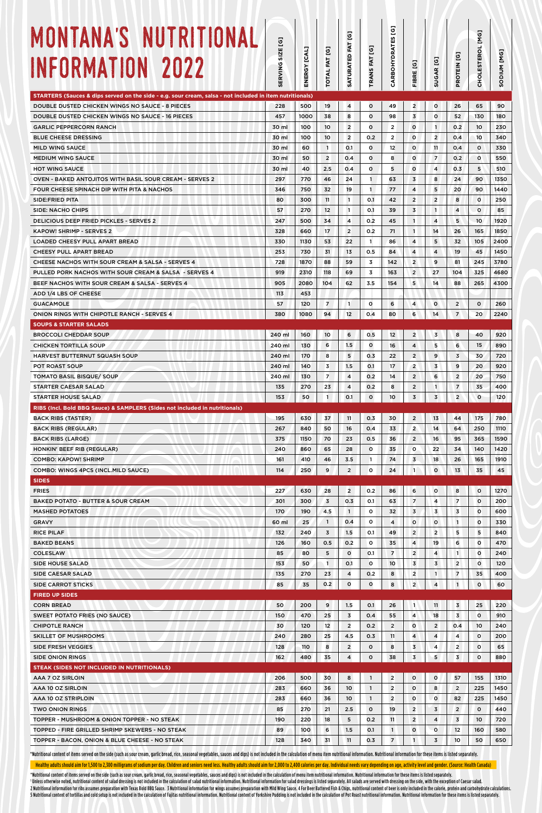| MONTANA'S NUTRITIONAL<br>INFORMATION 2022                                                                                                                                                                                      | g<br>ERVING SIZE<br>$\overline{v}$ | ENERGY [CAL] | TOTAL FAT [G]         | g<br>FAT<br><b>SATURATED</b> | <b>G</b><br>FAT<br><b>TRANS I</b> | g<br>53<br>CARBOHYDRAT | FIBRE [G]                                 | SUGAR <sub>[G]</sub> | PROTEIN [G]             | G<br>CHOLESTEROL [M | [MG]<br>MUIDOS |
|--------------------------------------------------------------------------------------------------------------------------------------------------------------------------------------------------------------------------------|------------------------------------|--------------|-----------------------|------------------------------|-----------------------------------|------------------------|-------------------------------------------|----------------------|-------------------------|---------------------|----------------|
| STARTERS (Sauces & dips served on the side - e.g. sour cream, salsa - not included in item nutritionals)<br>DOUBLE DUSTED CHICKEN WINGS NO SAUCE - 8 PIECES                                                                    | 228                                | 500          | 19                    | $\overline{4}$               | o                                 | 49                     | $\overline{2}$                            | o                    | 26                      | 65                  | 90             |
| <b>DOUBLE DUSTED CHICKEN WINGS NO SAUCE - 16 PIECES</b>                                                                                                                                                                        | 457                                | 1000         | 38                    | 8                            | o                                 | 98                     | 3                                         | o                    | 52                      | 130                 | 180            |
| <b>GARLIC PEPPERCORN RANCH</b>                                                                                                                                                                                                 | 30 ml                              | 100          | 10                    | $\overline{2}$               | o                                 | $\overline{2}$         | $\circ$                                   | $\mathbf{1}$         | O.2                     | 10                  | 230            |
| <b>BLUE CHEESE DRESSING</b>                                                                                                                                                                                                    | 30 ml                              | 100          | 10                    | $\overline{2}$               | 0.2                               | $\overline{2}$         | $\circ$                                   | $\overline{2}$       | 0.4                     | 10                  | 340            |
| <b>MILD WING SAUCE</b>                                                                                                                                                                                                         | 30 ml                              | 60           | $\mathbf{1}$          | O.1                          | $\circ$                           | 12                     | $\circ$                                   | 11                   | 0.4                     | $\circ$             | 330            |
| <b>MEDIUM WING SAUCE</b><br><b>HOT WING SAUCE</b>                                                                                                                                                                              | 30 ml<br>30 ml                     | 50<br>40     | $\overline{2}$<br>2.5 | O.4<br>0.4                   | $\circ$<br>o                      | 8<br>5                 | $\circ$<br>$\circ$                        | $\overline{7}$<br>4  | 0.2 <sub>0</sub><br>0.3 | $\circ$<br>5        | 550<br>510     |
| <b>OVEN - BAKED ANTOJITOS WITH BASIL SOUR CREAM - SERVES 2</b>                                                                                                                                                                 | 297                                | 770          | 46                    | 24                           | $\mathbf{1}$                      | 63                     | $\overline{3}$                            | 8                    | 24                      | 90                  | 1350           |
| FOUR CHEESE SPINACH DIP WITH PITA & NACHOS                                                                                                                                                                                     | 346                                | 750          | 32                    | 19                           | $\mathbf{1}$                      | 77                     | 4                                         | 5                    | 20                      | 90                  | 1440           |
| SIDE:FRIED PITA                                                                                                                                                                                                                | 80                                 | 300          | 11                    | $\overline{1}$               | O.1                               | 42                     | $\overline{2}$                            | $\overline{2}$       | 8                       | $\circ$             | 250            |
| SIDE: NACHO CHIPS                                                                                                                                                                                                              | 57                                 | 270          | 12                    | $\overline{1}$               | 0.1                               | 39                     | 3                                         | $\mathbf{1}$         | $\overline{4}$          | $\circ$             | 85             |
| <b>DELICIOUS DEEP FRIED PICKLES - SERVES 2</b>                                                                                                                                                                                 | 247                                | 500          | 34                    | $\overline{4}$               | 0.2                               | 45                     | $\mathbf{1}$                              | 4                    | 5                       | 10                  | 1920           |
| <b>KAPOW! SHRIMP - SERVES 2</b>                                                                                                                                                                                                | 328                                | 660          | 17                    | $\overline{2}$               | 0.2                               | 71                     | $\overline{1}$                            | 14                   | 26                      | 165                 | 1850           |
| LOADED CHEESY PULL APART BREAD                                                                                                                                                                                                 | 330                                | 1130         | 53                    | 22                           | $\mathbf{1}$                      | 86                     | 4                                         | 5                    | 32                      | 105                 | 2400           |
| <b>CHEESY PULL APART BREAD</b><br>CHEESE NACHOS WITH SOUR CREAM & SALSA - SERVES 4                                                                                                                                             | 253<br>728                         | 730<br>1870  | 31<br>88              | 13<br>59                     | 0.5<br>3                          | 84<br>142              | $\overline{4}$<br>$\overline{2}$          | $\overline{4}$<br>9  | 19<br>81                | 45<br>245           | 1450<br>3780   |
| PULLED PORK NACHOS WITH SOUR CREAM & SALSA - SERVES 4                                                                                                                                                                          | 919                                | 2310         | 118                   | 69                           | 3                                 | 163                    | $\overline{2}$                            | 27                   | 104                     | 325                 | 4680           |
| BEEF NACHOS WITH SOUR CREAM & SALSA - SERVES 4                                                                                                                                                                                 | 905                                | 2080         | 104                   | 62                           | 3.5                               | 154                    | 5                                         | 14                   | 88                      | 265                 | 4300           |
| ADD 1/4 LBS OF CHEESE                                                                                                                                                                                                          | 113                                | 453          |                       |                              |                                   |                        |                                           |                      |                         |                     |                |
| <b>GUACAMOLE</b>                                                                                                                                                                                                               | 57                                 | 120          | 7                     | $\mathbf{1}$                 | $\circ$                           | 6                      | $\overline{4}$                            | o                    | $\overline{2}$          | $\circ$             | 260            |
| <b>ONION RINGS WITH CHIPOTLE RANCH - SERVES 4</b>                                                                                                                                                                              | 380                                | 1080         | 94                    | 12                           | 0.4                               | 80                     | 6                                         | 14                   | $\overline{7}$          | 20                  | 2240           |
| <b>SOUPS &amp; STARTER SALADS</b>                                                                                                                                                                                              |                                    |              |                       |                              |                                   |                        |                                           |                      |                         |                     |                |
| <b>BROCCOLI CHEDDAR SOUP</b>                                                                                                                                                                                                   | 240 ml                             | 160          | 10                    | 6                            | 0.5                               | 12                     | $\overline{\mathbf{c}}$                   | 3                    | 8                       | 40                  | 920            |
| <b>CHICKEN TORTILLA SOUP</b><br><b>HARVEST BUTTERNUT SQUASH SOUP</b>                                                                                                                                                           | 240 ml<br>240 ml                   | 130<br>170   | 6<br>8                | 1.5<br>5                     | $\circ$<br>0.3                    | 16<br>22               | 4<br>$\overline{c}$                       | 5<br>9               | 6<br>3                  | 15<br>30            | 890<br>720     |
| <b>POT ROAST SOUP</b>                                                                                                                                                                                                          | 240 ml                             | 140          | 3                     | 1.5                          | 0.1                               | 17                     | $\overline{2}$                            | 3                    | 9                       | 20                  | 920            |
| <b>TOMATO BASIL BISQUE/ SOUP</b>                                                                                                                                                                                               | 240 ml                             | 130          | 7                     | $\overline{4}$               | 0.2                               | 14                     | 2                                         | 6                    | $\overline{2}$          | 20                  | 750            |
| <b>STARTER CAESAR SALAD</b>                                                                                                                                                                                                    | 135                                | 270          | 23                    | 4                            | 0.2                               | 8                      | 2                                         | 1                    | $\overline{7}$          | 35                  | 400            |
| <b>STARTER HOUSE SALAD</b>                                                                                                                                                                                                     | 153                                | 50           | 1                     | 0.1                          | $\mathbf{o}$                      | 10                     | 3                                         | 3                    | $\overline{2}$          | $\circ$             | 120            |
| RIBS (Incl. Bold BBQ Sauce) & SAMPLERS (Sides not included in nutritionals)                                                                                                                                                    |                                    |              |                       |                              |                                   |                        |                                           |                      |                         |                     |                |
| <b>BACK RIBS (TASTER)</b>                                                                                                                                                                                                      | 195                                | 630          | 37                    | 11                           | 0.3                               | 30                     | $\overline{2}$                            | 13                   | 44                      | 175                 | 780            |
| <b>BACK RIBS (REGULAR)</b><br><b>BACK RIBS (LARGE)</b>                                                                                                                                                                         | 267<br>375                         | 840<br>1150  | 50<br>70              | 16<br>23                     | 0.4<br>0.5                        | 33<br>36               | 2<br>$\overline{2}$                       | 14<br>16             | 64<br>95                | 250<br>365          | 1110<br>1590   |
| HONKIN' BEEF RIB (REGULAR)                                                                                                                                                                                                     | 240                                | 860          | 65                    | 28                           | $\circ$                           | 35                     | $\circ$                                   | 22                   | 34                      | 140                 | 1420           |
| <b>COMBO: KAPOW! SHRIMP</b>                                                                                                                                                                                                    | 161                                | 410          | 46                    | 3.5                          | 1                                 | 74                     | 3                                         | 18                   | 26                      | 165                 | 1910           |
| COMBO: WINGS 4PCS (INCL.MILD SAUCE)                                                                                                                                                                                            | 114                                | 250          | 9                     | $\overline{2}$               | 0                                 | 24                     | $\mathbf{1}$                              | 0                    | 13                      | 35                  | 45             |
| <b>SIDES</b>                                                                                                                                                                                                                   |                                    |              |                       |                              |                                   |                        |                                           |                      |                         |                     |                |
| <b>FRIES</b>                                                                                                                                                                                                                   | 227                                | 630          | 28                    | $\overline{2}$               | 0.2                               | 86                     | 6                                         | o                    | 8                       | $\circ$             | 1270           |
| <b>BAKED POTATO - BUTTER &amp; SOUR CREAM</b>                                                                                                                                                                                  | 301                                | 300          | 3                     | 0.3                          | 0.1                               | 63                     | 7                                         | 4                    | $\overline{7}$          | $\circ$             | 200            |
| <b>MASHED POTATOES</b>                                                                                                                                                                                                         | 170                                | 190          | 4.5                   | $\mathbf{1}$                 | o                                 | 32                     | 3                                         | 3                    | 3                       | $\circ$             | 600            |
| <b>GRAVY</b><br><b>RICE PILAF</b>                                                                                                                                                                                              | 60 ml<br>132                       | 25<br>240    | 1<br>3                | 0.4<br>1.5                   | 0<br>0.1                          | 4<br>49                | $\circ$<br>$\overline{\mathbf{c}}$        | 0<br>$\overline{2}$  | $\mathbf{1}$<br>5       | O<br>5              | 330<br>840     |
| <b>BAKED BEANS</b>                                                                                                                                                                                                             | 126                                | 160          | 0.5                   | 0.2                          | 0                                 | 35                     | 4                                         | 19                   | 6                       | O                   | 470            |
| <b>COLESLAW</b>                                                                                                                                                                                                                | 85                                 | 80           | 5                     | $\mathbf{o}$                 | 0.1                               | 7                      | $\overline{2}$                            | 4                    | $\mathbf{1}$            | o                   | 240            |
| SIDE HOUSE SALAD                                                                                                                                                                                                               | 153                                | 50           | 1                     | O.1                          | $\circ$                           | 10                     | 3                                         | 3                    | $\overline{2}$          | $\circ$             | 120            |
| SIDE CAESAR SALAD                                                                                                                                                                                                              | 135                                | 270          | 23                    | 4                            | 0.2                               | 8                      | $\overline{2}$                            | $\mathbf{1}$         | $\overline{7}$          | 35                  | 400            |
| <b>SIDE CARROT STICKS</b>                                                                                                                                                                                                      | 85                                 | 35           | 0.2                   | $\circ$                      | $\circ$                           | 8                      | $\overline{c}$                            | 4                    | $\mathbf{1}$            | $\circ$             | 60             |
| <b>FIRED UP SIDES</b>                                                                                                                                                                                                          |                                    |              |                       |                              |                                   |                        |                                           |                      |                         |                     |                |
| <b>CORN BREAD</b>                                                                                                                                                                                                              | 50                                 | 200          | 9                     | 1.5                          | 0.1                               | 26                     | $\mathbf{1}$                              | 11                   | 3                       | 25                  | 220            |
| SWEET POTATO FRIES (NO SAUCE)<br><b>CHIPOTLE RANCH</b>                                                                                                                                                                         | 150<br>30                          | 470<br>120   | 25<br>12              | 3<br>$\overline{2}$          | 0.4<br>0.2                        | 55<br>$\overline{2}$   | 4<br>$\circ$                              | 18<br>2              | 3<br>0.4                | o<br>10             | 910<br>240     |
| <b>SKILLET OF MUSHROOMS</b>                                                                                                                                                                                                    | 240                                | 280          | 25                    | 4.5                          | 0.3                               | 11                     | 4                                         | 4                    | 4                       | $\circ$             | 200            |
| <b>SIDE FRESH VEGGIES</b>                                                                                                                                                                                                      | 128                                | 110          | 8                     | $\overline{2}$               | o                                 | 8                      | 3                                         | 4                    | $\overline{2}$          | $\circ$             | 65             |
| <b>SIDE ONION RINGS</b>                                                                                                                                                                                                        | 162                                | 480          | 35                    | $\overline{4}$               | $\circ$                           | 38                     | 3                                         | 5                    | 3                       | $\circ$             | 880            |
| <b>STEAK (SIDES NOT INCLUDED IN NUTRITIONALS)</b>                                                                                                                                                                              |                                    |              |                       |                              |                                   |                        |                                           |                      |                         |                     |                |
| AAA 7 OZ SIRLOIN                                                                                                                                                                                                               | 206                                | 500          | 30                    | 8                            | $\mathbf{1}$                      | $\overline{2}$         | $\circ$                                   | o                    | 57                      | 155                 | 1310           |
| AAA 10 OZ SIRLOIN                                                                                                                                                                                                              | 283                                | 660          | 36                    | $10$                         | $\mathbf{1}$                      | $\overline{2}$         | $\mathbf{o}$                              | 8                    | $\overline{2}$          | 225                 | 1450           |
| AAA 10 OZ STRIPLOIN                                                                                                                                                                                                            | 283                                | 660          | 36                    | 10                           | $\overline{1}$                    | $\overline{2}$         | $\circ$                                   | o                    | 82                      | 225                 | 1450           |
| <b>TWO ONION RINGS</b><br>TOPPER - MUSHROOM & ONION TOPPER - NO STEAK                                                                                                                                                          | 85<br>190                          | 270<br>220   | 21<br>18              | 2.5<br>5                     | $\mathsf{o}$<br>0.2               | 19<br>11               | $\overline{\mathbf{c}}$<br>$\overline{a}$ | 3<br>4               | $\overline{2}$<br>3     | o<br>10             | 440<br>720     |
| TOPPED - FIRE GRILLED SHRIMP SKEWERS - NO STEAK                                                                                                                                                                                | 89                                 | 100          | 6                     | 1.5                          | 0.1                               | $\mathbf{1}$           | 0                                         | $\circ$              | 12                      | 160                 | 580            |
| TOPPER - BACON, ONION & BLUE CHEESE - NO STEAK                                                                                                                                                                                 | 128                                | 340          | 31                    | 11                           | 0.3                               | $\overline{7}$         | 1                                         | 3                    | 10                      | 50                  | 650            |
| *Nutritional content of items served on the side (such as sour cream, garlic bread, rice, seasonal vegetables, sauces and dips) is not included in the calculation of menu item nutritional information. Nutritional informati |                                    |              |                       |                              |                                   |                        |                                           |                      |                         |                     |                |

Healthy adults should aim for 1,500 to 2,300 milligrams of sodium per day. Children and seniors need less. Healthy adults should aim for 2,000 to 2,400 calories per day. Individual needs vary depending on age, activity lev

\*Nutritional content of items served on the side (such as sour cream, garlic bread, rice, seasonal vegetables, sauces and dips) is not included in the calculation of menu item nutritional information. Nutritional informati <sup>1</sup> Unless otherwise noted, nutritional content of salad dressing is not included in the calculation of salad nutritional information. Nutritional information for salad dressings is listed separately. All salads are served 2 Nutritional information for ribs assumes preparation with Texas Bold BBQ Sauce. 3 Nutritional information for wings assumes preparation with Mild Wing Sauce. 4 For Beer Battered Fish & Chips, nutritional content of beer 5 Nutritional content of tortillas and cold setup is not included in the calculation of Fajitas nutritional information. Nutritional content of Yorkshire Pudding is not included in the calculation of Pot Roast nutritional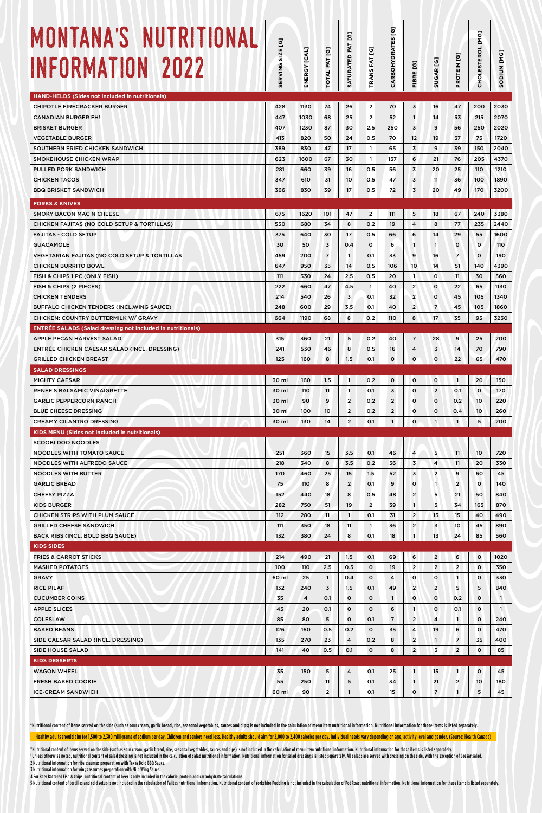| 26<br>25<br>30<br>24<br>17<br>30<br>16<br>10<br>17<br>47<br>8<br>17<br>0.4<br>$\mathbf{1}$<br>14<br>2.5<br>4.5<br>3<br>3.5<br>8<br>5<br>8<br>1.5<br>$\mathbf{1}$ | $\overline{2}$<br>$\overline{2}$<br>2.5<br>0.5<br>$\mathbf{1}$<br>$\mathbf{1}$<br>0.5<br>0.5<br>0.5<br>$\overline{2}$<br>0.2<br>0.5<br>$\circ$<br>0.1<br>0.5<br>0.5<br>$\mathbf{1}$<br>0.1<br>0.1<br>0.2<br>0.2<br>0.5<br>0.1 | 70<br>52<br>250<br>70<br>65<br>137<br>56<br>47<br>72<br>111<br>19<br>66<br>6<br>33<br>106<br>20<br>40<br>32<br>40<br>110<br>40<br>16 | $\overline{\mathbf{3}}$<br>$\mathbf{1}$<br>3<br>12<br>3<br>6<br>$\overline{3}$<br>3<br>3<br>5<br>4<br>6<br>$\mathbf{1}$<br>9<br>10<br>1<br>$\overline{2}$<br>$\overline{2}$<br>$\overline{2}$<br>8<br>7<br>4 | 16<br>14<br>9<br>19<br>9<br>21<br>20<br>11<br>20<br>18<br>8<br>14<br>$\mathbf{1}$<br>16<br>14<br>$\circ$<br>o<br>$\circ$<br>$\overline{7}$<br>17<br>28<br>$\overline{\mathbf{3}}$ | 47<br>53<br>56<br>37<br>39<br>76<br>25<br>36<br>49<br>67<br>77<br>29<br>$\circ$<br>$\overline{7}$<br>51<br>11<br>22<br>45<br>45<br>35<br>9<br>14 | 200<br>215<br>250<br>75<br>150<br>205<br>110<br>100<br>170<br>240<br>235<br>55<br>$\circ$<br>$\circ$<br>140<br>30<br>65<br>105<br>105<br>95<br>25<br>70 | 2030<br>2070<br>2020<br>1720<br>2040<br>4370<br>1210<br>1890<br>3200<br>3380<br>2440<br>1600<br>110<br>190<br>4390<br>560<br>1130<br>1340<br>1860<br>3230 |
|------------------------------------------------------------------------------------------------------------------------------------------------------------------|-------------------------------------------------------------------------------------------------------------------------------------------------------------------------------------------------------------------------------|--------------------------------------------------------------------------------------------------------------------------------------|--------------------------------------------------------------------------------------------------------------------------------------------------------------------------------------------------------------|-----------------------------------------------------------------------------------------------------------------------------------------------------------------------------------|--------------------------------------------------------------------------------------------------------------------------------------------------|---------------------------------------------------------------------------------------------------------------------------------------------------------|-----------------------------------------------------------------------------------------------------------------------------------------------------------|
|                                                                                                                                                                  |                                                                                                                                                                                                                               |                                                                                                                                      |                                                                                                                                                                                                              |                                                                                                                                                                                   |                                                                                                                                                  |                                                                                                                                                         |                                                                                                                                                           |
|                                                                                                                                                                  |                                                                                                                                                                                                                               |                                                                                                                                      |                                                                                                                                                                                                              |                                                                                                                                                                                   |                                                                                                                                                  |                                                                                                                                                         |                                                                                                                                                           |
|                                                                                                                                                                  |                                                                                                                                                                                                                               |                                                                                                                                      |                                                                                                                                                                                                              |                                                                                                                                                                                   |                                                                                                                                                  |                                                                                                                                                         |                                                                                                                                                           |
|                                                                                                                                                                  |                                                                                                                                                                                                                               |                                                                                                                                      |                                                                                                                                                                                                              |                                                                                                                                                                                   |                                                                                                                                                  |                                                                                                                                                         |                                                                                                                                                           |
|                                                                                                                                                                  |                                                                                                                                                                                                                               |                                                                                                                                      |                                                                                                                                                                                                              |                                                                                                                                                                                   |                                                                                                                                                  |                                                                                                                                                         |                                                                                                                                                           |
|                                                                                                                                                                  |                                                                                                                                                                                                                               |                                                                                                                                      |                                                                                                                                                                                                              |                                                                                                                                                                                   |                                                                                                                                                  |                                                                                                                                                         |                                                                                                                                                           |
|                                                                                                                                                                  |                                                                                                                                                                                                                               |                                                                                                                                      |                                                                                                                                                                                                              |                                                                                                                                                                                   |                                                                                                                                                  |                                                                                                                                                         |                                                                                                                                                           |
|                                                                                                                                                                  |                                                                                                                                                                                                                               |                                                                                                                                      |                                                                                                                                                                                                              |                                                                                                                                                                                   |                                                                                                                                                  |                                                                                                                                                         |                                                                                                                                                           |
|                                                                                                                                                                  |                                                                                                                                                                                                                               |                                                                                                                                      |                                                                                                                                                                                                              |                                                                                                                                                                                   |                                                                                                                                                  |                                                                                                                                                         |                                                                                                                                                           |
|                                                                                                                                                                  |                                                                                                                                                                                                                               |                                                                                                                                      |                                                                                                                                                                                                              |                                                                                                                                                                                   |                                                                                                                                                  |                                                                                                                                                         |                                                                                                                                                           |
|                                                                                                                                                                  |                                                                                                                                                                                                                               |                                                                                                                                      |                                                                                                                                                                                                              |                                                                                                                                                                                   |                                                                                                                                                  |                                                                                                                                                         |                                                                                                                                                           |
|                                                                                                                                                                  |                                                                                                                                                                                                                               |                                                                                                                                      |                                                                                                                                                                                                              |                                                                                                                                                                                   |                                                                                                                                                  |                                                                                                                                                         |                                                                                                                                                           |
|                                                                                                                                                                  |                                                                                                                                                                                                                               |                                                                                                                                      |                                                                                                                                                                                                              |                                                                                                                                                                                   |                                                                                                                                                  |                                                                                                                                                         |                                                                                                                                                           |
|                                                                                                                                                                  |                                                                                                                                                                                                                               |                                                                                                                                      |                                                                                                                                                                                                              |                                                                                                                                                                                   |                                                                                                                                                  |                                                                                                                                                         |                                                                                                                                                           |
|                                                                                                                                                                  |                                                                                                                                                                                                                               |                                                                                                                                      |                                                                                                                                                                                                              |                                                                                                                                                                                   |                                                                                                                                                  |                                                                                                                                                         |                                                                                                                                                           |
|                                                                                                                                                                  |                                                                                                                                                                                                                               |                                                                                                                                      |                                                                                                                                                                                                              |                                                                                                                                                                                   |                                                                                                                                                  |                                                                                                                                                         |                                                                                                                                                           |
|                                                                                                                                                                  |                                                                                                                                                                                                                               |                                                                                                                                      |                                                                                                                                                                                                              |                                                                                                                                                                                   |                                                                                                                                                  |                                                                                                                                                         |                                                                                                                                                           |
|                                                                                                                                                                  |                                                                                                                                                                                                                               |                                                                                                                                      |                                                                                                                                                                                                              |                                                                                                                                                                                   |                                                                                                                                                  |                                                                                                                                                         |                                                                                                                                                           |
|                                                                                                                                                                  |                                                                                                                                                                                                                               |                                                                                                                                      |                                                                                                                                                                                                              |                                                                                                                                                                                   |                                                                                                                                                  |                                                                                                                                                         |                                                                                                                                                           |
|                                                                                                                                                                  |                                                                                                                                                                                                                               |                                                                                                                                      |                                                                                                                                                                                                              |                                                                                                                                                                                   |                                                                                                                                                  |                                                                                                                                                         |                                                                                                                                                           |
|                                                                                                                                                                  |                                                                                                                                                                                                                               |                                                                                                                                      |                                                                                                                                                                                                              |                                                                                                                                                                                   |                                                                                                                                                  |                                                                                                                                                         |                                                                                                                                                           |
|                                                                                                                                                                  |                                                                                                                                                                                                                               |                                                                                                                                      |                                                                                                                                                                                                              |                                                                                                                                                                                   |                                                                                                                                                  |                                                                                                                                                         | 200                                                                                                                                                       |
|                                                                                                                                                                  |                                                                                                                                                                                                                               |                                                                                                                                      |                                                                                                                                                                                                              |                                                                                                                                                                                   |                                                                                                                                                  |                                                                                                                                                         | 790                                                                                                                                                       |
|                                                                                                                                                                  |                                                                                                                                                                                                                               | $\circ$                                                                                                                              | $\circ$                                                                                                                                                                                                      | 0                                                                                                                                                                                 | 22                                                                                                                                               | 65                                                                                                                                                      | 470                                                                                                                                                       |
|                                                                                                                                                                  | 0.2                                                                                                                                                                                                                           | $\circ$                                                                                                                              | O                                                                                                                                                                                                            | $\mathbf{o}$                                                                                                                                                                      | $\mathbf{1}$                                                                                                                                     | 20                                                                                                                                                      | 150                                                                                                                                                       |
| 1                                                                                                                                                                | 0.1                                                                                                                                                                                                                           | 3                                                                                                                                    | o                                                                                                                                                                                                            | $\overline{2}$                                                                                                                                                                    | 0.1                                                                                                                                              | $\circ$                                                                                                                                                 | 170                                                                                                                                                       |
| 2                                                                                                                                                                | 0.2                                                                                                                                                                                                                           | $\overline{2}$                                                                                                                       | o                                                                                                                                                                                                            | o                                                                                                                                                                                 | 0.2                                                                                                                                              | 10                                                                                                                                                      | 220                                                                                                                                                       |
| 2                                                                                                                                                                | 0.2                                                                                                                                                                                                                           | $\overline{2}$                                                                                                                       | o                                                                                                                                                                                                            | $\circ$                                                                                                                                                                           | 0.4                                                                                                                                              | 10                                                                                                                                                      | 260                                                                                                                                                       |
| $\overline{2}$                                                                                                                                                   | 0.1                                                                                                                                                                                                                           | $\mathbf{1}$                                                                                                                         | o                                                                                                                                                                                                            | $\mathbf{1}$                                                                                                                                                                      | $\mathbf{1}$                                                                                                                                     | 5                                                                                                                                                       | 200                                                                                                                                                       |
|                                                                                                                                                                  |                                                                                                                                                                                                                               |                                                                                                                                      |                                                                                                                                                                                                              |                                                                                                                                                                                   |                                                                                                                                                  |                                                                                                                                                         |                                                                                                                                                           |
|                                                                                                                                                                  |                                                                                                                                                                                                                               |                                                                                                                                      |                                                                                                                                                                                                              |                                                                                                                                                                                   |                                                                                                                                                  |                                                                                                                                                         |                                                                                                                                                           |
| 3.5                                                                                                                                                              | 0.1                                                                                                                                                                                                                           | 46                                                                                                                                   | 4                                                                                                                                                                                                            |                                                                                                                                                                                   |                                                                                                                                                  | 10                                                                                                                                                      | 720                                                                                                                                                       |
|                                                                                                                                                                  |                                                                                                                                                                                                                               |                                                                                                                                      |                                                                                                                                                                                                              |                                                                                                                                                                                   |                                                                                                                                                  |                                                                                                                                                         | 330<br>45                                                                                                                                                 |
|                                                                                                                                                                  |                                                                                                                                                                                                                               |                                                                                                                                      |                                                                                                                                                                                                              |                                                                                                                                                                                   |                                                                                                                                                  |                                                                                                                                                         | 140                                                                                                                                                       |
| 8                                                                                                                                                                | 0.5                                                                                                                                                                                                                           | 48                                                                                                                                   | $\overline{2}$                                                                                                                                                                                               | 5                                                                                                                                                                                 | 21                                                                                                                                               | 50                                                                                                                                                      | 840                                                                                                                                                       |
| 19                                                                                                                                                               | $\overline{2}$                                                                                                                                                                                                                | 39                                                                                                                                   | $\mathbf{1}$                                                                                                                                                                                                 | 5                                                                                                                                                                                 | 34                                                                                                                                               | 165                                                                                                                                                     | 870                                                                                                                                                       |
| $\mathbf{1}$                                                                                                                                                     | O.1                                                                                                                                                                                                                           | 31                                                                                                                                   | $\overline{2}$                                                                                                                                                                                               | 13                                                                                                                                                                                | 15                                                                                                                                               | 40                                                                                                                                                      | 490                                                                                                                                                       |
| 11                                                                                                                                                               | $\mathbf{1}$                                                                                                                                                                                                                  | 36                                                                                                                                   | $\overline{2}$                                                                                                                                                                                               | $\overline{3}$                                                                                                                                                                    | 10                                                                                                                                               | 45                                                                                                                                                      | 890                                                                                                                                                       |
| 8                                                                                                                                                                | 0.1                                                                                                                                                                                                                           | 18                                                                                                                                   | $\mathbf{1}$                                                                                                                                                                                                 | 13                                                                                                                                                                                | 24                                                                                                                                               | 85                                                                                                                                                      | 560                                                                                                                                                       |
|                                                                                                                                                                  |                                                                                                                                                                                                                               |                                                                                                                                      |                                                                                                                                                                                                              |                                                                                                                                                                                   |                                                                                                                                                  |                                                                                                                                                         |                                                                                                                                                           |
|                                                                                                                                                                  |                                                                                                                                                                                                                               |                                                                                                                                      |                                                                                                                                                                                                              |                                                                                                                                                                                   |                                                                                                                                                  |                                                                                                                                                         | 1020                                                                                                                                                      |
|                                                                                                                                                                  |                                                                                                                                                                                                                               |                                                                                                                                      |                                                                                                                                                                                                              |                                                                                                                                                                                   |                                                                                                                                                  |                                                                                                                                                         | 350<br>330                                                                                                                                                |
|                                                                                                                                                                  | O.1                                                                                                                                                                                                                           | 49                                                                                                                                   | $\overline{2}$                                                                                                                                                                                               |                                                                                                                                                                                   |                                                                                                                                                  | 5                                                                                                                                                       | 840                                                                                                                                                       |
| $\circ$                                                                                                                                                          | 0                                                                                                                                                                                                                             | $\mathbf{1}$                                                                                                                         | o                                                                                                                                                                                                            | $\mathbf{o}$                                                                                                                                                                      | 0.2                                                                                                                                              | $\circ$                                                                                                                                                 | $\mathbf{1}$                                                                                                                                              |
| $\circ$                                                                                                                                                          | 0                                                                                                                                                                                                                             | 6                                                                                                                                    | $\mathbf{1}$                                                                                                                                                                                                 | $\circ$                                                                                                                                                                           | 0.1                                                                                                                                              | $\circ$                                                                                                                                                 | $\mathbf{1}$                                                                                                                                              |
| $\circ$                                                                                                                                                          | O.1                                                                                                                                                                                                                           | $\overline{7}$                                                                                                                       | $\overline{2}$                                                                                                                                                                                               | 4                                                                                                                                                                                 | 1                                                                                                                                                | $\circ$                                                                                                                                                 | 240                                                                                                                                                       |
| 0.2                                                                                                                                                              | 0                                                                                                                                                                                                                             | 35                                                                                                                                   | 4                                                                                                                                                                                                            | 19                                                                                                                                                                                | 6                                                                                                                                                | o                                                                                                                                                       | 470                                                                                                                                                       |
| $\overline{4}$                                                                                                                                                   | 0.2                                                                                                                                                                                                                           | 8                                                                                                                                    | $\overline{2}$                                                                                                                                                                                               | $\mathbf{1}$                                                                                                                                                                      | 7                                                                                                                                                | 35                                                                                                                                                      | 400                                                                                                                                                       |
| O.1                                                                                                                                                              | $\circ$                                                                                                                                                                                                                       |                                                                                                                                      |                                                                                                                                                                                                              | 3                                                                                                                                                                                 |                                                                                                                                                  | o                                                                                                                                                       | 85                                                                                                                                                        |
|                                                                                                                                                                  |                                                                                                                                                                                                                               |                                                                                                                                      |                                                                                                                                                                                                              |                                                                                                                                                                                   |                                                                                                                                                  |                                                                                                                                                         |                                                                                                                                                           |
|                                                                                                                                                                  |                                                                                                                                                                                                                               |                                                                                                                                      |                                                                                                                                                                                                              |                                                                                                                                                                                   |                                                                                                                                                  |                                                                                                                                                         | 45<br>180                                                                                                                                                 |
|                                                                                                                                                                  |                                                                                                                                                                                                                               |                                                                                                                                      |                                                                                                                                                                                                              |                                                                                                                                                                                   |                                                                                                                                                  |                                                                                                                                                         | 45                                                                                                                                                        |
|                                                                                                                                                                  | 3.5<br>15<br>$\overline{2}$<br>1.5<br>0.5<br>0.4<br>1.5<br>$\overline{4}$<br>5                                                                                                                                                | 0.2<br>1.5<br>O.1<br>O.1<br>$\circ$<br>0<br>0.1<br>0.1<br>0.1                                                                        | 56<br>52<br>9<br>69<br>19<br>4<br>8<br>25<br>34<br>15                                                                                                                                                        | 3<br>3<br>$\circ$<br>6<br>$\overline{2}$<br>o<br>$\overline{2}$<br>1<br>1<br>o                                                                                                    | 5<br>4<br>$\overline{2}$<br>$\mathbf{1}$<br>$\overline{2}$<br>$\overline{2}$<br>0<br>$\overline{2}$<br>15<br>21<br>$\overline{7}$                | 11<br>11<br>9<br>$\overline{2}$<br>6<br>$\overline{2}$<br>$\mathbf{1}$<br>5<br>$\overline{2}$<br>$\mathbf{1}$<br>$\overline{2}$<br>$\mathbf{1}$         | 20<br>60<br>0<br>$\circ$<br>o<br>o<br>$\circ$<br>10<br>5                                                                                                  |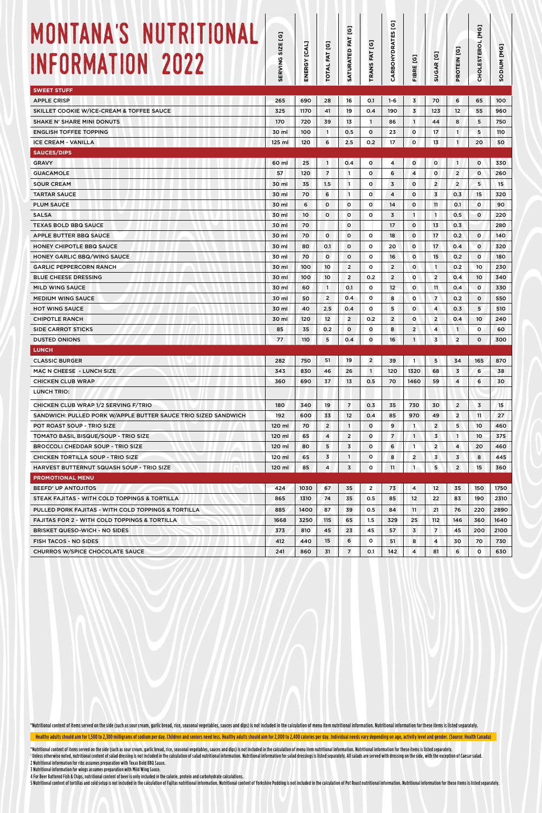| MONTANA'S NUTRITIONAL<br>INFORMATION 2022                      | g<br><b>SIZE</b><br>ERVING<br><b>SC</b> | ENERGY [CAL] | TOTAL FAT [G]           | SATURATED FAT [G] | $\overline{6}$<br>FAT<br><b>PANS</b> | g<br>CARBOHYDRATES | FIBRE [G]                  | <b>SUGAR [G]</b> | <b>PROTEIN [G]</b>      | <b>[MG]</b><br><b>CHOLESTEROL</b> | [MG]<br>MUIDOS |
|----------------------------------------------------------------|-----------------------------------------|--------------|-------------------------|-------------------|--------------------------------------|--------------------|----------------------------|------------------|-------------------------|-----------------------------------|----------------|
| <b>SWEET STUFF</b>                                             |                                         |              |                         |                   |                                      |                    |                            |                  |                         |                                   |                |
| <b>APPLE CRISP</b>                                             | 265                                     | 690          | 28                      | 16                | O.1                                  | $1 - 6$            | 3                          | 70               | 6                       | 65                                | 100            |
| SKILLET COOKIE W/ICE-CREAM & TOFFEE SAUCE                      | 325                                     | 1170         | 41                      | 19                | 0.4                                  | 190                | 3                          | 123              | $12 \overline{ }$       | 55                                | 960            |
| <b>SHAKE N' SHARE MINI DONUTS</b>                              | 170                                     | 720          | 39                      | 13                | $\mathbf{1}$                         | 86                 | $\mathbf{1}$               | 44               | 8                       | 5                                 | 750            |
| <b>ENGLISH TOFFEE TOPPING</b>                                  | 30 ml                                   | 100          | $\mathbf{1}$            | 0.5               | 0                                    | 23                 | $\circ$                    | 17               | $\mathbf{1}$            | 5                                 | 110            |
| <b>ICE CREAM - VANILLA</b>                                     | 125 ml                                  | 120          | 6                       | 2.5               | 0.2                                  | 17                 | $\circ$                    | 13               | $\mathbf{1}$            | 20                                | 50             |
| <b>SAUCES/DIPS</b>                                             |                                         |              |                         |                   |                                      |                    |                            |                  |                         |                                   |                |
| <b>GRAVY</b>                                                   | 60 ml                                   | 25           | $\mathbf{1}$            | 0.4               | 0                                    | 4                  | o                          | $\circ$          | $\overline{1}$          | $\circ$                           | 330            |
| <b>GUACAMOLE</b>                                               | 57                                      | 120          | $\overline{7}$          | $\mathbf{1}$      | o                                    | 6                  | 4                          | 0                | $\overline{2}$          | $\circ$                           | 260            |
| <b>SOUR CREAM</b>                                              | 30 ml                                   | 35           | 1.5                     | $\mathbf{1}$      | $\circ$                              | $\overline{3}$     | $\circ$                    | $\overline{2}$   | $\overline{2}$          | 5                                 | 15             |
| <b>TARTAR SAUCE</b>                                            | 30 ml                                   | 70           | 6                       | $\overline{1}$    | 0                                    | 4                  | $\circ$                    | $\overline{3}$   | O.3                     | 15                                | 320            |
| <b>PLUM SAUCE</b>                                              | 30 ml                                   | 6            | $\circ$                 | $\circ$           | $\circ$                              | 14                 | $\circ$                    | 11               | 0.1                     | $\circ$                           | 90             |
| <b>SALSA</b>                                                   | 30 ml                                   | 10           | $\circ$                 | $\circ$           | $\circ$                              | $\overline{3}$     | $\mathbf{1}$               | $\overline{1}$   | 0.5                     | $\circ$                           | 220            |
| <b>TEXAS BOLD BBQ SAUCE</b>                                    | 30 ml                                   | 70           |                         | $\circ$           |                                      | 17                 | $\circ$                    | 13               | 0.3                     |                                   | 280            |
| APPLE BUTTER BBQ SAUCE                                         | 30 ml                                   | 70           | o                       | $\circ$           | $\circ$                              | 18                 | $\circ$                    | 17               | 0.2                     | $\circ$                           | 140            |
| <b>HONEY CHIPOTLE BBQ SAUCE</b>                                | 30 ml                                   | 80           | 0.1                     | $\circ$           | $\circ$                              | 20                 | $\circ$                    | 17               | 0.4                     | o                                 | 320            |
| HONEY GARLIC BBQ/WING SAUCE                                    | 30 ml                                   | 70           | o                       | $\circ$           | $\circ$                              | 16                 | $\circ$                    | 15               | 0.2                     | $\circ$                           | 180            |
| <b>GARLIC PEPPERCORN RANCH</b>                                 | 30 ml                                   | 100          | 10                      | $\overline{2}$    | 0                                    | $\overline{2}$     | $\circ$                    | $\mathbf{1}$     | 0.2                     | 10                                | 230            |
| <b>BLUE CHEESE DRESSING</b>                                    | 30 ml                                   | 100          | 10                      | $\overline{2}$    | 0.2                                  | $\overline{2}$     | $\circ$                    | $\overline{2}$   | 0.4                     | 10                                | 340            |
| <b>MILD WING SAUCE</b>                                         | 30 ml                                   | 60           | $\mathbf{1}$            | O.1               | $\circ$                              | 12 <sup>°</sup>    | $\circ$                    | 11               | 0.4                     | $\circ$                           | 330            |
| <b>MEDIUM WING SAUCE</b>                                       | 30 ml                                   | 50           | $\overline{2}$          | O.4               | 0                                    | 8                  | o                          | $\overline{7}$   | 0.2                     | $\circ$                           | 550            |
| <b>HOT WING SAUCE</b>                                          | 30 ml                                   | 40           | 2.5                     | 0.4               | $\circ$                              | 5                  | $\circ$                    | 4                | 0.3                     | 5                                 | 510            |
| <b>CHIPOTLE RANCH</b>                                          | 30 ml                                   | 120          | 12                      | $\overline{2}$    | 0.2                                  | $\overline{2}$     | $\circ$                    | $\overline{2}$   | 0.4                     | 10                                | 240            |
| <b>SIDE CARROT STICKS</b>                                      | 85                                      | 35           | 0.2                     | $\mathbf 0$       | $\mathbf{o}$                         | 8                  | $\overline{2}$             | 4                | $\mathbf{1}$            | $\circ$                           | 60             |
| <b>DUSTED ONIONS</b>                                           | 77                                      | 110          | 5                       | 0.4               | O                                    | 16                 | $\mathbf{1}$               | $\overline{3}$   | $\overline{2}$          | $\Omega$                          | 300            |
| <b>LUNCH</b>                                                   |                                         |              |                         |                   |                                      |                    |                            |                  |                         |                                   |                |
| <b>CLASSIC BURGER</b>                                          | 282                                     | 750          | 51                      | 19                | $\overline{2}$                       | 39                 | $\left( \mathbf{1}\right)$ | 5                | 34                      | 165                               | 870            |
| MAC N CHEESE - LUNCH SIZE                                      | 343                                     | 830          | 46                      | 26                | $\mathbf{1}$                         | 120                | 1320                       | 68               | 3                       | 6                                 | 38             |
| <b>CHICKEN CLUB WRAP</b>                                       | 360                                     | 690          | 37                      | 13                | 0.5                                  | 70                 | 1460                       | 59               | 4                       | 6                                 | 30             |
| LUNCH TRIO:                                                    |                                         |              |                         |                   |                                      |                    |                            |                  |                         |                                   |                |
| CHICKEN CLUB WRAP 1/2 SERVING F/TRIO                           | 180                                     | 340          | 19                      | $\overline{7}$    | 0.3                                  | 35                 | 730                        | 30               | $\overline{2}$          | $\overline{3}$                    | 15             |
| SANDWICH: PULLED PORK W/APPLE BUTTER SAUCE TRIO SIZED SANDWICH | 192                                     | 600          | 33                      | 12                | 0.4                                  | 85                 | 970                        | 49               | $\overline{2}$          | 11                                | 27             |
| POT ROAST SOUP - TRIO SIZE                                     | 120 ml                                  | 70           | $\overline{2}$          | $\mathbf{1}$      | $\mathbf{o}$                         | 9                  | $\mathbf{1}$               | $\overline{2}$   | 5                       | 10                                | 460            |
| TOMATO BASIL BISQUE/SOUP - TRIO SIZE                           | 120 ml                                  | 65           | $\overline{\mathbf{4}}$ | $\overline{2}$    | $\mathbf{o}$                         | $\overline{7}$     | $\mathbf{1}$               | 3                | $\mathbf{1}$            | 10 <sup>°</sup>                   | 375            |
| <b>BROCCOLI CHEDDAR SOUP - TRIO SIZE</b>                       | 120 ml                                  | 80           | 5                       | 3                 | O                                    | 6                  | $\overline{1}$             | $\overline{2}$   | $\overline{\mathbf{4}}$ | 20                                | 460            |
| CHICKEN TORTILLA SOUP - TRIO SIZE                              | 120 ml                                  | 65           | 3                       | $\mathbf{1}$      | $\mathbf{o}$                         | 8                  | $\overline{2}$             | 3                | 3                       | 8                                 | 445            |
| HARVEST BUTTERNUT SQUASH SOUP - TRIO SIZE                      | 120 ml                                  | 85           | $\overline{\mathbf{4}}$ | 3                 | 0                                    | 11                 | $\mathbf{1}$               | 5 <sub>5</sub>   | $\overline{2}$          | 15                                | 360            |
| <b>PROMOTIONAL MENU</b>                                        |                                         |              |                         |                   |                                      |                    |                            |                  |                         |                                   |                |
| <b>BEEFD' UP ANTOJITOS</b>                                     | 424                                     | 1030         | 67                      | 35                | $\overline{2}$                       | 73                 | 4                          | 12               | 35                      | 150                               | 1750           |
| STEAK FAJITAS - WITH COLD TOPPINGS & TORTILLA                  | 865                                     | 1310         | 74                      | 35                | 0.5                                  | 85                 | 12                         | 22               | 83                      | 190                               | 2310           |
| PULLED PORK FAJITAS - WITH COLD TOPPINGS & TORTILLA            | 885                                     | 1400         | 87                      | 39                | 0.5                                  | 84                 | 11                         | 21               | 76                      | 220                               | 2890           |
| <b>FAJITAS FOR 2 - WITH COLD TOPPINGS &amp; TORTILLA</b>       | 1668                                    | 3250         | 115                     | 65                | 1.5                                  | 329                | 25                         | 112              | 146                     | 360                               | 1640           |
| <b>BRISKET QUESO-WICH - NO SIDES</b>                           | 373                                     | 810          | 45                      | 23                | 45                                   | 57                 | $\overline{3}$             | $\overline{7}$   | 45                      | 200                               | 2100           |
| <b>FISH TACOS - NO SIDES</b>                                   | 412                                     | 440          | 15                      | 6                 | $\circ$                              | 51                 | 8                          | 4                | 30                      | 70                                | 730            |
| <b>CHURROS W/SPICE CHOCOLATE SAUCE</b>                         | 241                                     | 860          | 31                      | $\overline{7}$    | 0.1                                  | 142                | 4                          | 81               | 6                       | $\circ$                           | 630            |

\*Nutritional content of items served on the side (such as sour cream, garlic bread, rice, seasonal vegetables, sauces and dips) is not included in the calculation of menu item nutritional information. Nutritional informati

Healthy adults should aim for 1,500 to 2,300 milligrams of sodium per day. Children and seniors need less. Healthy adults should aim for 2,000 to 2,400 calories per day. Individual needs vary depending on age, activity lev

\*Nutritional content of items served on the side (such as sour cream, garlic bread, rice, seasonal vegetables, sauces and dips) is not included in the calculation of menu item nutritional information. Nutritional informati <sup>1</sup> Unless otherwise noted, nutritional content of salad dressing is not included in the calculation of salad nutritional information. Nutritional information for salad dressings is listed separately. All salads are served 2 Nutritional information for ribs assumes preparation with Texas Bold BBQ Sauce.

3 Nutritional information for wings assumes preparation with Mild Wing Sauce. 4 For Beer Battered Fish & Chips, nutritional content of beer is only included in the calorie, protein and carbohydrate calculations.

5 Nutritional content of tortillas and cold setup is not included in the calculation of Fajitas nutritional information. Nutritional content of Yorkshire Pudding is not included in the calculation of Pot Roast nutritional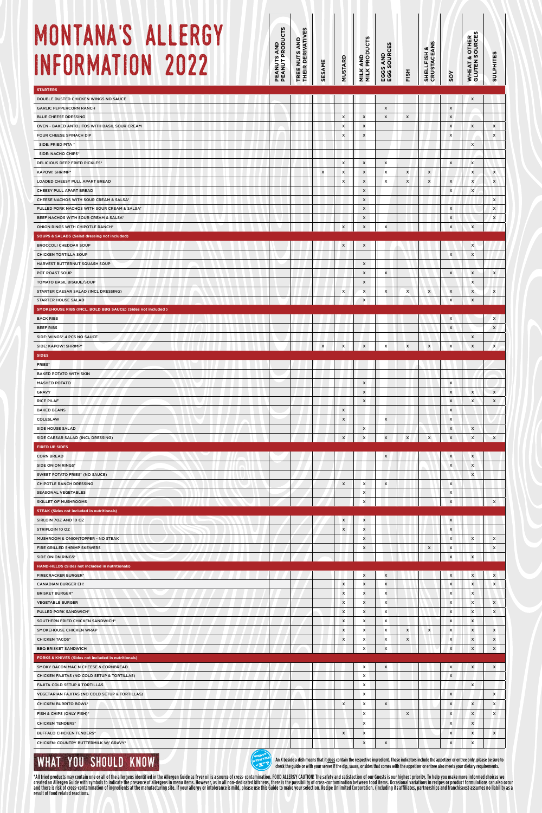# M<sub>0</sub> **INF**

| MONTANA'S ALLERGY<br>INFORMATION 2022                                                                  | EANUTS AND<br>EANUT PRODUCTS<br>ᅀᅙ | TREE NUTS AND<br>THEIR DERIVATIVES | SESAME                    | MUSTARD                                     | <b>AND<br/>PRODUCTS</b><br>MILK<br>MILK     | <b>5S AND<br/>5 SOURCES</b><br>EGG<br>EGG              | FISH                             | S<br><b>SHELLFISH &amp;<br/>CRUSTACEANS</b> | SOY                                  | n<br>& OTHER<br>I SOURCES<br>WHEAT 8<br>GLUTEN 3 | <b>SULPHITES</b>                                       |
|--------------------------------------------------------------------------------------------------------|------------------------------------|------------------------------------|---------------------------|---------------------------------------------|---------------------------------------------|--------------------------------------------------------|----------------------------------|---------------------------------------------|--------------------------------------|--------------------------------------------------|--------------------------------------------------------|
| <b>STARTERS</b><br>DOUBLE DUSTED CHICKEN WINGS NO SAUCE<br><b>GARLIC PEPPERCORN RANCH</b>              |                                    |                                    |                           |                                             |                                             | $\boldsymbol{\mathsf{x}}$                              |                                  |                                             | $\pmb{\mathsf{x}}$                   | $\boldsymbol{\mathsf{x}}$                        |                                                        |
| <b>BLUE CHEESE DRESSING</b>                                                                            |                                    |                                    |                           | x                                           | $\boldsymbol{\mathsf{x}}$                   | $\boldsymbol{\mathsf{x}}$                              | $\boldsymbol{\mathsf{x}}$        |                                             | X                                    |                                                  |                                                        |
| OVEN - BAKED ANTOJITOS WITH BASIL SOUR CREAM<br>FOUR CHEESE SPINACH DIP                                |                                    |                                    |                           | x<br>x                                      | $\pmb{\times}$<br>$\pmb{\times}$            |                                                        |                                  |                                             | $\pmb{\times}$<br>$\pmb{\times}$     | $\pmb{\mathsf{x}}$                               | x<br>x                                                 |
| SIDE: FRIED PITA *                                                                                     |                                    |                                    |                           |                                             |                                             |                                                        |                                  |                                             |                                      | x                                                |                                                        |
| <b>SIDE: NACHO CHIPS*</b><br><b>DELICIOUS DEEP FRIED PICKLES*</b>                                      |                                    |                                    |                           | x                                           | X                                           | $\boldsymbol{\mathsf{x}}$                              |                                  |                                             | x                                    | $\boldsymbol{\mathsf{x}}$                        |                                                        |
| <b>KAPOW! SHRIMP*</b><br>LOADED CHEESY PULL APART BREAD                                                |                                    |                                    | $\boldsymbol{\mathsf{x}}$ | x<br>x                                      | $\boldsymbol{\mathsf{x}}$<br>X              | X<br>х                                                 | X<br>$\boldsymbol{\mathsf{x}}$   | X<br>$\boldsymbol{\mathsf{x}}$              | $\pmb{\mathsf{x}}$                   | x<br>X                                           | X<br>x                                                 |
| CHEESY PULL APART BREAD                                                                                |                                    |                                    |                           |                                             | X                                           |                                                        |                                  |                                             | $\pmb{\times}$                       | $\boldsymbol{\mathsf{x}}$                        |                                                        |
| CHEESE NACHOS WITH SOUR CREAM & SALSA*<br>PULLED PORK NACHOS WITH SOUR CREAM & SALSA*                  |                                    |                                    |                           |                                             | X<br>X                                      |                                                        |                                  |                                             | x                                    |                                                  | $\boldsymbol{\mathsf{x}}$<br>$\boldsymbol{\mathsf{x}}$ |
| BEEF NACHOS WITH SOUR CREAM & SALSA*                                                                   |                                    |                                    |                           |                                             | x                                           |                                                        |                                  |                                             | x                                    |                                                  | x                                                      |
| ONION RINGS WITH CHIPOTLE RANCH*<br><b>SOUPS &amp; SALADS (Salad dressing not included)</b>            |                                    |                                    |                           | x                                           | $\pmb{\times}$                              | x                                                      |                                  |                                             | $\pmb{\times}$                       | x                                                |                                                        |
| <b>BROCCOLI CHEDDAR SOUP</b>                                                                           |                                    |                                    |                           | $\pmb{\times}$                              | X                                           |                                                        |                                  |                                             | $\boldsymbol{\mathsf{x}}$            | X<br>x                                           |                                                        |
| <b>CHICKEN TORTILLA SOUP</b><br>HARVEST BUTTERNUT SQUASH SOUP                                          |                                    |                                    |                           |                                             | $\boldsymbol{\mathsf{x}}$                   |                                                        |                                  |                                             |                                      |                                                  |                                                        |
| POT ROAST SOUP<br>TOMATO BASIL BISQUE/SOUP                                                             |                                    |                                    |                           |                                             | $\boldsymbol{\mathsf{x}}$<br>X              | X                                                      |                                  |                                             | $\pmb{\times}$                       | $\pmb{\times}$<br>X                              | $\boldsymbol{\mathsf{x}}$                              |
| STARTER CAESAR SALAD (INCL DRESSING)                                                                   |                                    |                                    |                           | x                                           | x                                           | X                                                      | X                                | X                                           | $\pmb{\times}$                       | x                                                | X                                                      |
| <b>STARTER HOUSE SALAD</b><br>SMOKEHOUSE RIBS (INCL. BOLD BBQ SAUCE) (Sides not included)              |                                    |                                    |                           |                                             | $\pmb{\mathsf{x}}$                          |                                                        |                                  |                                             | $\boldsymbol{\mathsf{x}}$            | $\pmb{\mathsf{x}}$                               |                                                        |
| <b>BACK RIBS</b>                                                                                       |                                    |                                    |                           |                                             |                                             |                                                        |                                  |                                             | x                                    |                                                  | X                                                      |
| <b>BEEF RIBS</b><br>SIDE: WINGS* 4 PCS NO SAUCE                                                        |                                    |                                    |                           |                                             |                                             |                                                        |                                  |                                             | $\pmb{\mathsf{x}}$                   | x                                                | $\boldsymbol{\mathsf{x}}$                              |
| SIDE: KAPOW! SHRIMP*                                                                                   |                                    |                                    | $\mathbf x$               | $\sqrt{\frac{1}{x}}$                        | $\mathsf{x}$                                | $\mathsf{x}$                                           | $\mathsf{x}$                     | $\boldsymbol{\mathsf{x}}$                   | $\mathsf{x}$                         | $\boldsymbol{\mathsf{x}}$                        | $\boldsymbol{\mathsf{x}}$                              |
| <b>SIDES</b><br>FRIES*                                                                                 |                                    |                                    |                           |                                             |                                             |                                                        |                                  |                                             |                                      |                                                  |                                                        |
| <b>BAKED POTATO WITH SKIN</b><br><b>MASHED POTATO</b>                                                  |                                    |                                    |                           |                                             | $\pmb{\times}$                              |                                                        |                                  |                                             | $\boldsymbol{\mathsf{x}}$            |                                                  |                                                        |
| GRAVY                                                                                                  |                                    |                                    |                           |                                             | $\pmb{\mathsf{x}}$                          |                                                        |                                  |                                             | $\pmb{\times}$                       | $\boldsymbol{\mathsf{x}}$                        | $\boldsymbol{\mathsf{x}}$                              |
| <b>RICE PILAF</b><br><b>BAKED BEANS</b>                                                                |                                    |                                    |                           | X                                           | $\pmb{\times}$                              |                                                        |                                  |                                             | x<br>x                               | x                                                | X                                                      |
| COLESLAW                                                                                               |                                    |                                    |                           | $\pmb{\times}$                              |                                             | x                                                      |                                  |                                             | X                                    |                                                  |                                                        |
| SIDE HOUSE SALAD<br>SIDE CAESAR SALAD (INCL DRESSING)                                                  |                                    |                                    |                           | $\pmb{\times}$                              | $\boldsymbol{\mathsf{x}}$<br>$\pmb{\times}$ | X                                                      | $\pmb{\times}$                   | X                                           | X<br>x                               | x<br>x                                           | X                                                      |
| <b>FIRED UP SIDES</b>                                                                                  |                                    |                                    |                           |                                             |                                             |                                                        |                                  |                                             |                                      |                                                  |                                                        |
| <b>CORN BREAD</b><br><b>SIDE ONION RINGS*</b>                                                          |                                    |                                    |                           |                                             |                                             | $\pmb{\times}$                                         |                                  |                                             | $\pmb{\times}$<br>$\pmb{\times}$     | X<br>$\boldsymbol{\mathsf{x}}$                   |                                                        |
| <b>SWEET POTATO FRIES* (NO SAUCE)</b><br><b>CHIPOTLE RANCH DRESSING</b>                                |                                    |                                    |                           | $\pmb{\mathsf{x}}$                          | x                                           | $\boldsymbol{\mathsf{x}}$                              |                                  |                                             | $\pmb{\times}$                       | $\pmb{\times}$                                   |                                                        |
| <b>SEASONAL VEGETABLES</b>                                                                             |                                    |                                    |                           |                                             | x                                           |                                                        |                                  |                                             | X                                    |                                                  |                                                        |
| <b>SKILLET OF MUSHROOMS</b><br><b>STEAK (Sides not included in nutritionals)</b>                       |                                    |                                    |                           |                                             | x                                           |                                                        |                                  |                                             | $\pmb{\times}$                       |                                                  | x                                                      |
| SIRLOIN 70Z AND 10 OZ                                                                                  |                                    |                                    |                           | x                                           | x                                           |                                                        |                                  |                                             | $\pmb{\times}$                       |                                                  |                                                        |
| STRIPLOIN 10 OZ<br>MUSHROOM & ONIONTOPPER - NO STEAK                                                   |                                    |                                    |                           | x                                           | x<br>x                                      |                                                        |                                  |                                             | x<br>$\pmb{\times}$                  | $\pmb{\times}$                                   | X                                                      |
| FIRE GRILLED SHRIMP SKEWERS                                                                            |                                    |                                    |                           |                                             | x                                           |                                                        |                                  | $\boldsymbol{\mathsf{x}}$                   | $\pmb{\times}$                       |                                                  | $\boldsymbol{\mathsf{x}}$                              |
| SIDE ONION RINGS*<br>HAND-HELDS (Sides not included in nutritionals)                                   |                                    |                                    |                           |                                             |                                             |                                                        |                                  |                                             | $\boldsymbol{\mathsf{x}}$            | $\boldsymbol{\mathsf{x}}$                        |                                                        |
| <b>FIRECRACKER BURGER*</b><br><b>CANADIAN BURGER EH!</b>                                               |                                    |                                    |                           | $\boldsymbol{\mathsf{x}}$                   | x<br>x                                      | X<br>x                                                 |                                  |                                             | X<br>$\pmb{\mathsf{x}}$              | x<br>x                                           | x<br>x                                                 |
| <b>BRISKET BURGER*</b>                                                                                 |                                    |                                    |                           | $\boldsymbol{\mathsf{x}}$                   | x                                           | $\boldsymbol{\mathsf{x}}$                              |                                  |                                             | X                                    | x                                                |                                                        |
| <b>VEGETABLE BURGER</b><br>PULLED PORK SANDWICH*                                                       |                                    |                                    |                           | $\boldsymbol{\mathsf{x}}$<br>$\pmb{\times}$ | x<br>x                                      | $\boldsymbol{\mathsf{x}}$<br>x                         |                                  |                                             | $\pmb{\times}$<br>$\pmb{\times}$     | $\boldsymbol{\mathsf{x}}$<br>$\pmb{\times}$      | $\boldsymbol{\mathsf{x}}$<br>x                         |
| SOUTHERN FRIED CHICKEN SANDWICH*                                                                       |                                    |                                    |                           | $\pmb{\times}$                              | x                                           | $\boldsymbol{\mathsf{x}}$                              |                                  |                                             | $\pmb{\times}$                       | $\pmb{\times}$                                   |                                                        |
| SMOKEHOUSE CHICKEN WRAP<br><b>CHICKEN TACOS*</b>                                                       |                                    |                                    |                           | $\pmb{\times}$<br>$\pmb{\times}$            | x<br>x                                      | $\boldsymbol{\mathsf{x}}$<br>$\boldsymbol{\mathsf{x}}$ | $\pmb{\times}$<br>$\pmb{\times}$ | $\boldsymbol{\mathsf{x}}$                   | $\mathsf{x}$<br>X                    | $\pmb{\times}$<br>$\pmb{\times}$                 | $\boldsymbol{\mathsf{x}}$<br>$\pmb{\times}$            |
| <b>BBQ BRISKET SANDWICH</b>                                                                            |                                    |                                    |                           |                                             | x                                           | $\pmb{\times}$                                         |                                  |                                             | x                                    | $\pmb{\times}$                                   | $\boldsymbol{\mathsf{x}}$                              |
| <b>FORKS &amp; KNIVES (Sides not included in nutritionals)</b><br>SMOKY BACON MAC N CHEESE & CORNBREAD |                                    |                                    |                           |                                             | x                                           | $\boldsymbol{\mathsf{x}}$                              |                                  |                                             | X                                    | X                                                | $\boldsymbol{\mathsf{x}}$                              |
| CHICKEN FAJITAS (NO COLD SETUP & TORTILLAS)<br>FAJITA COLD SETUP & TORTILLAS                           |                                    |                                    |                           |                                             | x<br>x                                      |                                                        |                                  |                                             | x                                    | $\mathbf{x}$                                     |                                                        |
| VEGETARIAN FAJITAS (NO COLD SETUP & TORTILLAS)                                                         |                                    |                                    |                           |                                             | x                                           |                                                        |                                  |                                             | $\boldsymbol{\mathsf{x}}$            |                                                  | $\boldsymbol{\mathsf{x}}$                              |
| <b>CHICKEN BURRITO BOWL*</b><br>FISH & CHIPS (ONLY FISH)*                                              |                                    |                                    |                           | x                                           | x<br>X                                      | $\boldsymbol{\mathsf{x}}$                              | $\boldsymbol{\mathsf{x}}$        |                                             | $\pmb{\mathsf{x}}$<br>$\pmb{\times}$ | x<br>$\boldsymbol{\mathsf{x}}$                   | x<br>x                                                 |
| <b>CHICKEN TENDERS*</b>                                                                                |                                    |                                    |                           |                                             | X                                           |                                                        |                                  |                                             | X                                    | $\pmb{\times}$                                   |                                                        |
| <b>BUFFALO CHICKEN TENDERS*</b><br>CHICKEN: COUNTRY BUTTERMILK W/ GRAVY*                               |                                    |                                    |                           | X                                           | $\pmb{\times}$                              |                                                        |                                  |                                             | X                                    | $\pmb{\times}$                                   | $\boldsymbol{\mathsf{x}}$                              |
|                                                                                                        |                                    |                                    |                           |                                             | $\pmb{\times}$                              | $\mathsf{x}$                                           |                                  |                                             | $\pmb{\times}$                       | $\pmb{\mathsf{x}}$                               |                                                        |

## WHAT YOU SHOULD KNOW

An X beside a dish means that it does contain the respective ingredient. These indicators include the appetizer or entree only, please be sure to check the guide or with your server if the dip, sauce, or sides that comes with the appetizer or entree also meets your dietary requirements. WITH THE

\*All fried products may contain one or all of the allergens identified in the Allergen Guide as fryer oil is a source of cross-contamination. FOOD ALLERGY CAUTION! The safety and satisfaction of our Guests is our highest p

**WHAT'S**